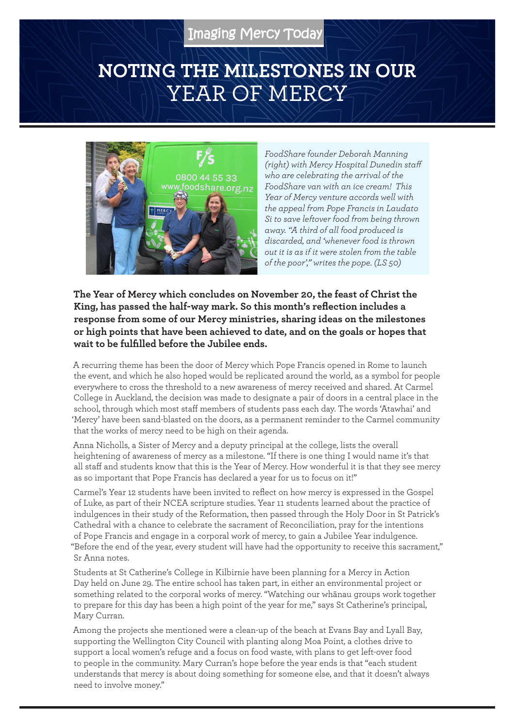## **NOTING THE MILESTONES IN OUR**  YEAR OF MERCY



*FoodShare founder Deborah Manning (right) with Mercy Hospital Dunedin staff who are celebrating the arrival of the FoodShare van with an ice cream! This Year of Mercy venture accords well with the appeal from Pope Francis in Laudato Si to save leftover food from being thrown away. "A third of all food produced is discarded, and 'whenever food is thrown out it is as if it were stolen from the table of the poor'," writes the pope. (LS 50)*

## **The Year of Mercy which concludes on November 20, the feast of Christ the King, has passed the half-way mark. So this month's reflection includes a response from some of our Mercy ministries, sharing ideas on the milestones or high points that have been achieved to date, and on the goals or hopes that wait to be fulfilled before the Jubilee ends.**

A recurring theme has been the door of Mercy which Pope Francis opened in Rome to launch the event, and which he also hoped would be replicated around the world, as a symbol for people everywhere to cross the threshold to a new awareness of mercy received and shared. At Carmel College in Auckland, the decision was made to designate a pair of doors in a central place in the school, through which most staff members of students pass each day. The words 'Atawhai' and 'Mercy' have been sand-blasted on the doors, as a permanent reminder to the Carmel community that the works of mercy need to be high on their agenda.

Anna Nicholls, a Sister of Mercy and a deputy principal at the college, lists the overall heightening of awareness of mercy as a milestone. "If there is one thing I would name it's that all staff and students know that this is the Year of Mercy. How wonderful it is that they see mercy as so important that Pope Francis has declared a year for us to focus on it!"

Carmel's Year 12 students have been invited to reflect on how mercy is expressed in the Gospel of Luke, as part of their NCEA scripture studies. Year 11 students learned about the practice of indulgences in their study of the Reformation, then passed through the Holy Door in St Patrick's Cathedral with a chance to celebrate the sacrament of Reconciliation, pray for the intentions of Pope Francis and engage in a corporal work of mercy, to gain a Jubilee Year indulgence. "Before the end of the year, every student will have had the opportunity to receive this sacrament," Sr Anna notes.

Students at St Catherine's College in Kilbirnie have been planning for a Mercy in Action Day held on June 29. The entire school has taken part, in either an environmental project or something related to the corporal works of mercy. "Watching our whānau groups work together to prepare for this day has been a high point of the year for me," says St Catherine's principal, Mary Curran.

Among the projects she mentioned were a clean-up of the beach at Evans Bay and Lyall Bay, supporting the Wellington City Council with planting along Moa Point, a clothes drive to support a local women's refuge and a focus on food waste, with plans to get left-over food to people in the community. Mary Curran's hope before the year ends is that "each student understands that mercy is about doing something for someone else, and that it doesn't always need to involve money."